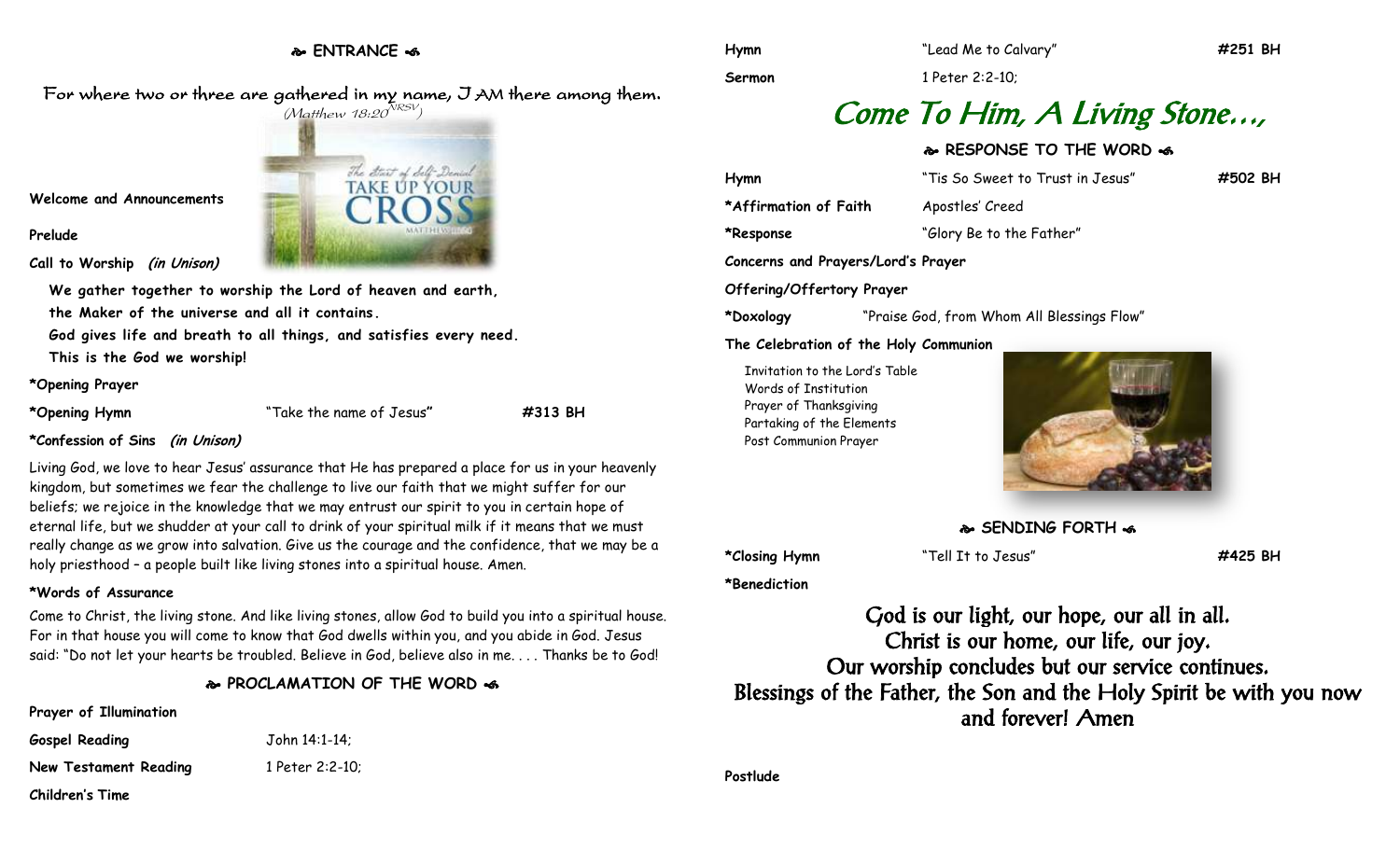**ENTRANCE** 

For where two or three are gathered in my name, I AM there among them.



**Welcome and Announcements**

**Prelude**

**Call to Worship (in Unison)**

**We gather together to worship the Lord of heaven and earth, the Maker of the universe and all it contains.**

**God gives life and breath to all things, and satisfies every need.**

**This is the God we worship!**

### **\*Opening Prayer**

**\*Opening Hymn** "Take the name of Jesus**" #313 BH**

**\*Confession of Sins (in Unison)**

Living God, we love to hear Jesus' assurance that He has prepared a place for us in your heavenly kingdom, but sometimes we fear the challenge to live our faith that we might suffer for our beliefs; we rejoice in the knowledge that we may entrust our spirit to you in certain hope of eternal life, but we shudder at your call to drink of your spiritual milk if it means that we must really change as we grow into salvation. Give us the courage and the confidence, that we may be a holy priesthood – a people built like living stones into a spiritual house. Amen.

## **\*Words of Assurance**

Come to Christ, the living stone. And like living stones, allow God to build you into a spiritual house. For in that house you will come to know that God dwells within you, and you abide in God. Jesus said: "Do not let your hearts be troubled. Believe in God, believe also in me. . . . Thanks be to God!

## **PROCLAMATION OF THE WORD**

## **Prayer of Illumination**

| <b>Gospel Reading</b> | John 14:1-14;   |
|-----------------------|-----------------|
| New Testament Reading | 1 Peter 2:2-10; |
| Children's Time       |                 |

**Sermon** 1 Peter 2:2-10;

# Come To Him, A Living Stone…,

# **RESPONSE TO THE WORD**  $\approx$

| Hymn                               | "Tis So Sweet to Trust in Jesus" | #502 BH |
|------------------------------------|----------------------------------|---------|
| *Affirmation of Faith              | Apostles' Creed                  |         |
| *Response                          | "Glory Be to the Father"         |         |
| Concerns and Prayers/Lord's Prayer |                                  |         |
| <b>Offering/Offertory Prayer</b>   |                                  |         |

**\*Doxology** "Praise God, from Whom All Blessings Flow"

**The Celebration of the Holy Communion**

Invitation to the Lord's Table Words of Institution Prayer of Thanksgiving Partaking of the Elements Post Communion Prayer



**SENDING FORTH**  $\cdot$ **6** 

**\*Closing Hymn** "Tell It to Jesus" **#425 BH**

**\*Benediction**

God is our light, our hope, our all in all. Christ is our home, our life, our joy. Our worship concludes but our service continues. Blessings of the Father, the Son and the Holy Spirit be with you now and forever! Amen